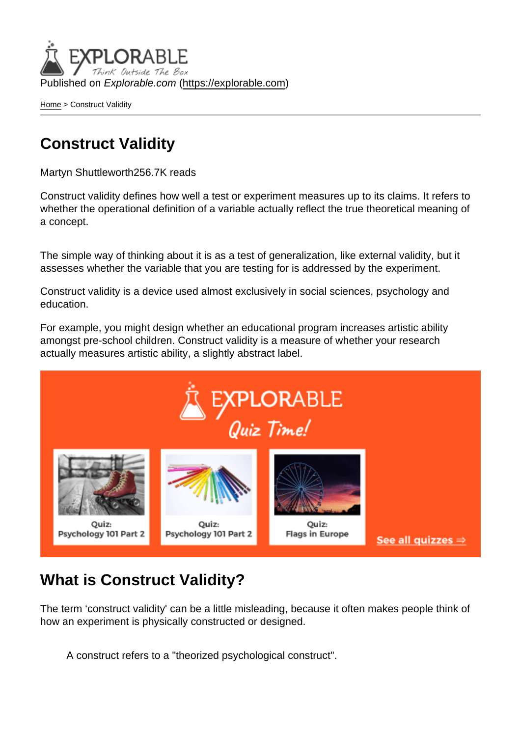Published on Explorable.com (<https://explorable.com>)

[Home](https://explorable.com/) > Construct Validity

# Construct Validity

Martyn Shuttleworth256.7K reads

Construct validity defines how well a test or experiment measures up to its claims. It refers to whether the operational definition of a variable actually reflect the true theoretical meaning of a concept.

The simple way of thinking about it is as a test of generalization, like external validity, but it assesses whether the variable that you are testing for is addressed by the experiment.

Construct validity is a device used almost exclusively in social sciences, psychology and education.

For example, you might design whether an educational program increases artistic ability amongst pre-school children. Construct validity is a measure of whether your research actually measures artistic ability, a slightly abstract label.

# What is Construct Validity?

The term 'construct validity' can be a little misleading, because it often makes people think of how an experiment is physically constructed or designed.

A construct refers to a "theorized psychological construct".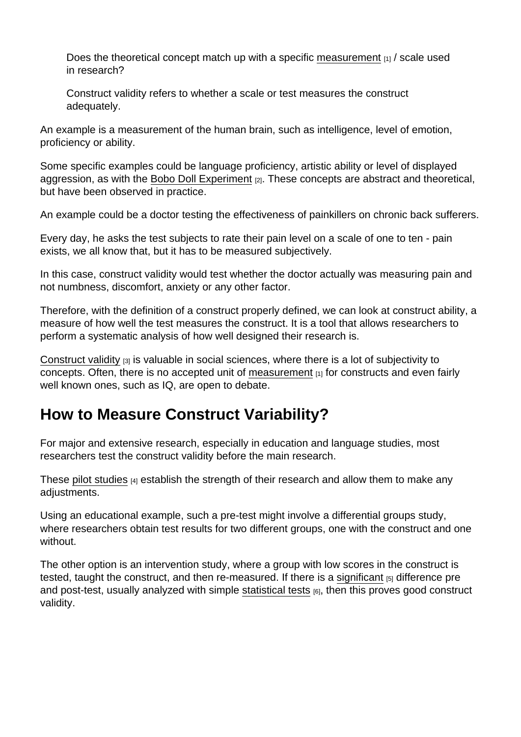Does the theoretical concept match up with a specific [measurement](https://explorable.com/scientific-measurements) [1] / scale used in research?

Construct validity refers to whether a scale or test measures the construct adequately.

An example is a measurement of the human brain, such as intelligence, level of emotion, proficiency or ability.

Some specific examples could be language proficiency, artistic ability or level of displayed aggression, as with the [Bobo Doll Experiment](https://explorable.com/bobo-doll-experiment) [2]. These concepts are abstract and theoretical, but have been observed in practice.

An example could be a doctor testing the effectiveness of painkillers on chronic back sufferers.

Every day, he asks the test subjects to rate their pain level on a scale of one to ten - pain exists, we all know that, but it has to be measured subjectively.

In this case, construct validity would test whether the doctor actually was measuring pain and not numbness, discomfort, anxiety or any other factor.

Therefore, with the definition of a construct properly defined, we can look at construct ability, a measure of how well the test measures the construct. It is a tool that allows researchers to perform a systematic analysis of how well designed their research is.

[Construct validity](http://www.socialresearchmethods.net/kb/constval.php)  $[3]$  is valuable in social sciences, where there is a lot of subjectivity to concepts. Often, there is no accepted unit of [measurement](https://explorable.com/scientific-measurements) [1] for constructs and even fairly well known ones, such as IQ, are open to debate.

## How to Measure Construct Variability?

For major and extensive research, especially in education and language studies, most researchers test the construct validity before the main research.

These [pilot studies](https://explorable.com/pilot-study) [4] establish the strength of their research and allow them to make any adjustments.

Using an educational example, such a pre-test might involve a differential groups study, where researchers obtain test results for two different groups, one with the construct and one without.

The other option is an intervention study, where a group with low scores in the construct is tested, taught the construct, and then re-measured. If there is a [significant](https://explorable.com/significance-test) [5] difference pre and post-test, usually analyzed with simple [statistical tests](https://explorable.com/significance-test-2) [6], then this proves good construct validity.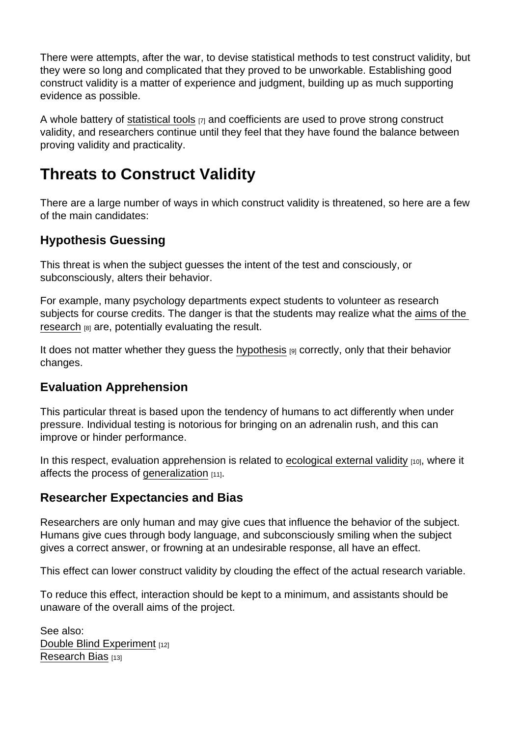There were attempts, after the war, to devise statistical methods to test construct validity, but they were so long and complicated that they proved to be unworkable. Establishing good construct validity is a matter of experience and judgment, building up as much supporting evidence as possible.

A whole battery of [statistical tools](https://explorable.com/statistics-tutorial) [7] and coefficients are used to prove strong construct validity, and researchers continue until they feel that they have found the balance between proving validity and practicality.

# Threats to Construct Validity

There are a large number of ways in which construct validity is threatened, so here are a few of the main candidates:

### Hypothesis Guessing

This threat is when the subject guesses the intent of the test and consciously, or subconsciously, alters their behavior.

For example, many psychology departments expect students to volunteer as research subjects for course credits. The danger is that the students may realize what the [aims of the](https://explorable.com/aims-of-research)  [research](https://explorable.com/aims-of-research) [8] are, potentially evaluating the result.

It does not matter whether they quess the [hypothesis](https://explorable.com/research-hypothesis)  $[9]$  correctly, only that their behavior changes.

### Evaluation Apprehension

This particular threat is based upon the tendency of humans to act differently when under pressure. Individual testing is notorious for bringing on an adrenalin rush, and this can improve or hinder performance.

In this respect, evaluation apprehension is related to [ecological external validity](https://explorable.com/ecological-validity) [10], where it affects the process of [generalization](https://explorable.com/what-is-generalization) [11].

#### Researcher Expectancies and Bias

Researchers are only human and may give cues that influence the behavior of the subject. Humans give cues through body language, and subconsciously smiling when the subject gives a correct answer, or frowning at an undesirable response, all have an effect.

This effect can lower construct validity by clouding the effect of the actual research variable.

To reduce this effect, interaction should be kept to a minimum, and assistants should be unaware of the overall aims of the project.

See also: [Double Blind Experiment](https://explorable.com/double-blind-experiment) [12] [Research Bias](https://explorable.com/research-bias) [13]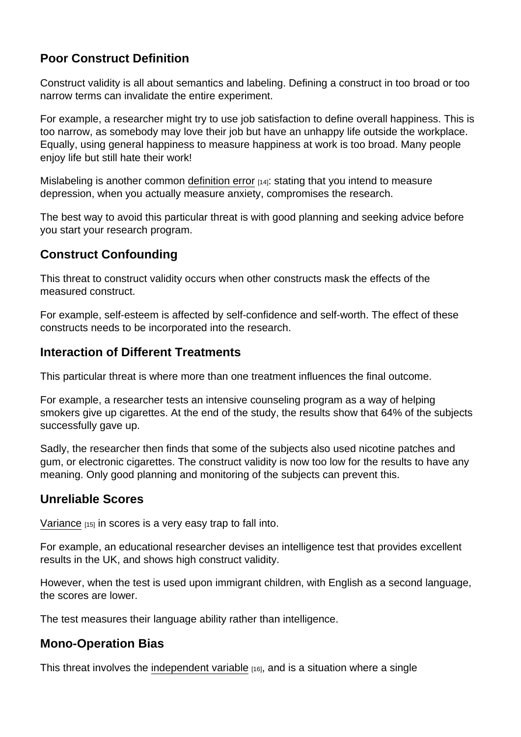## Poor Construct Definition

Construct validity is all about semantics and labeling. Defining a construct in too broad or too narrow terms can invalidate the entire experiment.

For example, a researcher might try to use job satisfaction to define overall happiness. This is too narrow, as somebody may love their job but have an unhappy life outside the workplace. Equally, using general happiness to measure happiness at work is too broad. Many people enjoy life but still hate their work!

Mislabeling is another common [definition error](https://explorable.com/defining-a-research-problem)  $H_141$ : stating that you intend to measure depression, when you actually measure anxiety, compromises the research.

The best way to avoid this particular threat is with good planning and seeking advice before you start your research program.

### Construct Confounding

This threat to construct validity occurs when other constructs mask the effects of the measured construct.

For example, self-esteem is affected by self-confidence and self-worth. The effect of these constructs needs to be incorporated into the research.

### Interaction of Different Treatments

This particular threat is where more than one treatment influences the final outcome.

For example, a researcher tests an intensive counseling program as a way of helping smokers give up cigarettes. At the end of the study, the results show that 64% of the subjects successfully gave up.

Sadly, the researcher then finds that some of the subjects also used nicotine patches and gum, or electronic cigarettes. The construct validity is now too low for the results to have any meaning. Only good planning and monitoring of the subjects can prevent this.

#### Unreliable Scores

[Variance](https://explorable.com/statistical-variance)  $[15]$  in scores is a very easy trap to fall into.

For example, an educational researcher devises an intelligence test that provides excellent results in the UK, and shows high construct validity.

However, when the test is used upon immigrant children, with English as a second language, the scores are lower.

The test measures their language ability rather than intelligence.

#### Mono-Operation Bias

This threat involves the [independent variable](https://explorable.com/independent-variable) [16], and is a situation where a single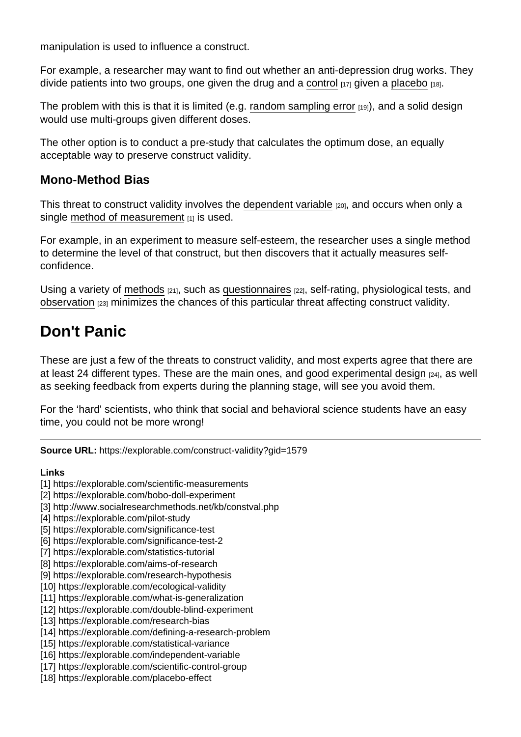manipulation is used to influence a construct.

For example, a researcher may want to find out whether an anti-depression drug works. They divide patients into two groups, one given the drug and a [control](https://explorable.com/scientific-control-group)  $[17]$  given a [placebo](https://explorable.com/placebo-effect)  $[18]$ .

The problem with this is that it is limited (e.g. [random sampling error](https://explorable.com/random-sampling-error)  $[19]$ ), and a solid design would use multi-groups given different doses.

The other option is to conduct a pre-study that calculates the optimum dose, an equally acceptable way to preserve construct validity.

Mono-Method Bias

This threat to construct validity involves the [dependent variable](https://explorable.com/dependent-variable) [20], and occurs when only a single [method of measurement](https://explorable.com/scientific-measurements) [1] is used.

For example, in an experiment to measure self-esteem, the researcher uses a single method to determine the level of that construct, but then discovers that it actually measures selfconfidence.

Using a variety of [methods](https://explorable.com/research-designs) [21], such as [questionnaires](https://explorable.com/survey-research-design) [22], self-rating, physiological tests, and [observation](https://explorable.com/observational-study) [23] minimizes the chances of this particular threat affecting construct validity.

## Don't Panic

These are just a few of the threats to construct validity, and most experts agree that there are at least 24 different types. These are the main ones, and [good experimental design](https://explorable.com/true-experimental-design) [24], as well as seeking feedback from experts during the planning stage, will see you avoid them.

For the 'hard' scientists, who think that social and behavioral science students have an easy time, you could not be more wrong!

Source URL: https://explorable.com/construct-validity?gid=1579

Links

- [1] https://explorable.com/scientific-measurements
- [2] https://explorable.com/bobo-doll-experiment
- [3] http://www.socialresearchmethods.net/kb/constval.php
- [4] https://explorable.com/pilot-study
- [5] https://explorable.com/significance-test
- [6] https://explorable.com/significance-test-2
- [7] https://explorable.com/statistics-tutorial
- [8] https://explorable.com/aims-of-research
- [9] https://explorable.com/research-hypothesis
- [10] https://explorable.com/ecological-validity
- [11] https://explorable.com/what-is-generalization
- [12] https://explorable.com/double-blind-experiment
- [13] https://explorable.com/research-bias
- [14] https://explorable.com/defining-a-research-problem
- [15] https://explorable.com/statistical-variance
- [16] https://explorable.com/independent-variable
- [17] https://explorable.com/scientific-control-group
- [18] https://explorable.com/placebo-effect